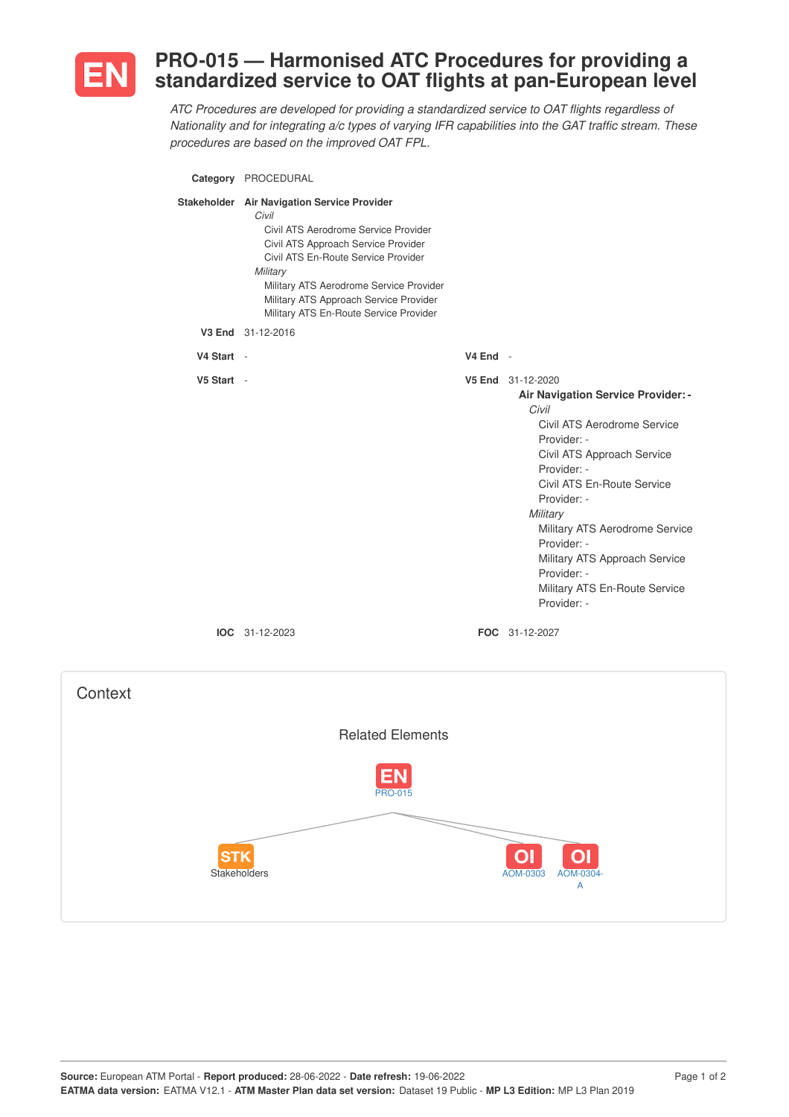

## **PRO-015 — Harmonised ATC Procedures for providing a standardized service to OAT flights at pan-European level**

*ATC Procedures are developed for providing a standardized service to OAT flights regardless of Nationality and for integrating a/c types of varying IFR capabilities into the GAT traffic stream. These procedures are based on the improved OAT FPL.*

|            | Category PROCEDURAL                                                                                                                                                                                                                                                                                                   |          |                                                                                                                                                                                                                                                                                                                                                                       |
|------------|-----------------------------------------------------------------------------------------------------------------------------------------------------------------------------------------------------------------------------------------------------------------------------------------------------------------------|----------|-----------------------------------------------------------------------------------------------------------------------------------------------------------------------------------------------------------------------------------------------------------------------------------------------------------------------------------------------------------------------|
|            | Stakeholder Air Navigation Service Provider<br>Civil<br>Civil ATS Aerodrome Service Provider<br>Civil ATS Approach Service Provider<br>Civil ATS En-Route Service Provider<br>Military<br>Military ATS Aerodrome Service Provider<br>Military ATS Approach Service Provider<br>Military ATS En-Route Service Provider |          |                                                                                                                                                                                                                                                                                                                                                                       |
|            | V3 End 31-12-2016                                                                                                                                                                                                                                                                                                     |          |                                                                                                                                                                                                                                                                                                                                                                       |
| V4 Start - |                                                                                                                                                                                                                                                                                                                       | V4 End - |                                                                                                                                                                                                                                                                                                                                                                       |
| V5 Start - |                                                                                                                                                                                                                                                                                                                       |          | V5 End 31-12-2020<br>Air Navigation Service Provider: -<br>Civil<br>Civil ATS Aerodrome Service<br>Provider: -<br>Civil ATS Approach Service<br>Provider: -<br>Civil ATS En-Route Service<br>Provider: -<br>Military<br>Military ATS Aerodrome Service<br>Provider: -<br>Military ATS Approach Service<br>Provider: -<br>Military ATS En-Route Service<br>Provider: - |
|            | <b>IOC</b> 31-12-2023                                                                                                                                                                                                                                                                                                 |          | <b>FOC</b> 31-12-2027                                                                                                                                                                                                                                                                                                                                                 |

| Context                                                                                      |  |
|----------------------------------------------------------------------------------------------|--|
| <b>Related Elements</b>                                                                      |  |
| <b>EN</b><br><b>PRO-015</b>                                                                  |  |
| O <sub>1</sub><br>O <sub>1</sub><br><b>STK</b><br>Stakeholders<br>AOM-0303<br>AOM-0304-<br>A |  |